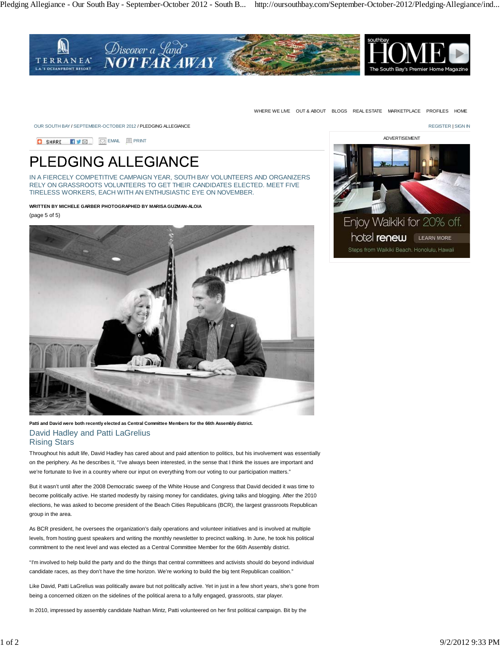

WHERE WE LIVE OUT & ABOUT BLOGS REAL ESTATE MARKETPLACE PROFILES HOME

OUR SOUTH BAY / SEPTEMBER-OCTOBER 2012 / PLEDGING ALLEGIANCE **Register and the control of the control of the control of the control of the control of the control of the control of the control of the control of the control** 

**B** SHARE **EVEL EMAIL** PRINT

## **PLEDGING ALLEGIANCE**

IN A FIERCELY COMPETITIVE CAMPAIGN YEAR, SOUTH BAY VOLUNTEERS AND ORGANIZERS RELY ON GRASSROOTS VOLUNTEERS TO GET THEIR CANDIDATES ELECTED. MEET FIVE TIRELESS WORKERS, EACH WITH AN ENTHUSIASTIC EYE ON NOVEMBER.

**WRITTEN BY MICHELE GARBER PHOTOGRAPHED BY MARISA GUZMAN-ALOIA**

(page 5 of 5)



**Patti and David were both recently elected as Central Committee Members for the 66th Assembly district.** David Hadley and Patti LaGrelius

Rising Stars

Throughout his adult life, David Hadley has cared about and paid attention to politics, but his involvement was essentially on the periphery. As he describes it, "I've always been interested, in the sense that I think the issues are important and we're fortunate to live in a country where our input on everything from our voting to our participation matters."

But it wasn't until after the 2008 Democratic sweep of the White House and Congress that David decided it was time to become politically active. He started modestly by raising money for candidates, giving talks and blogging. After the 2010 elections, he was asked to become president of the Beach Cities Republicans (BCR), the largest grassroots Republican group in the area.

As BCR president, he oversees the organization's daily operations and volunteer initiatives and is involved at multiple levels, from hosting guest speakers and writing the monthly newsletter to precinct walking. In June, he took his political commitment to the next level and was elected as a Central Committee Member for the 66th Assembly district.

"I'm involved to help build the party and do the things that central committees and activists should do beyond individual candidate races, as they don't have the time horizon. We're working to build the big tent Republican coalition."

Like David, Patti LaGrelius was politically aware but not politically active. Yet in just in a few short years, she's gone from being a concerned citizen on the sidelines of the political arena to a fully engaged, grassroots, star player.

In 2010, impressed by assembly candidate Nathan Mintz, Patti volunteered on her first political campaign. Bit by the